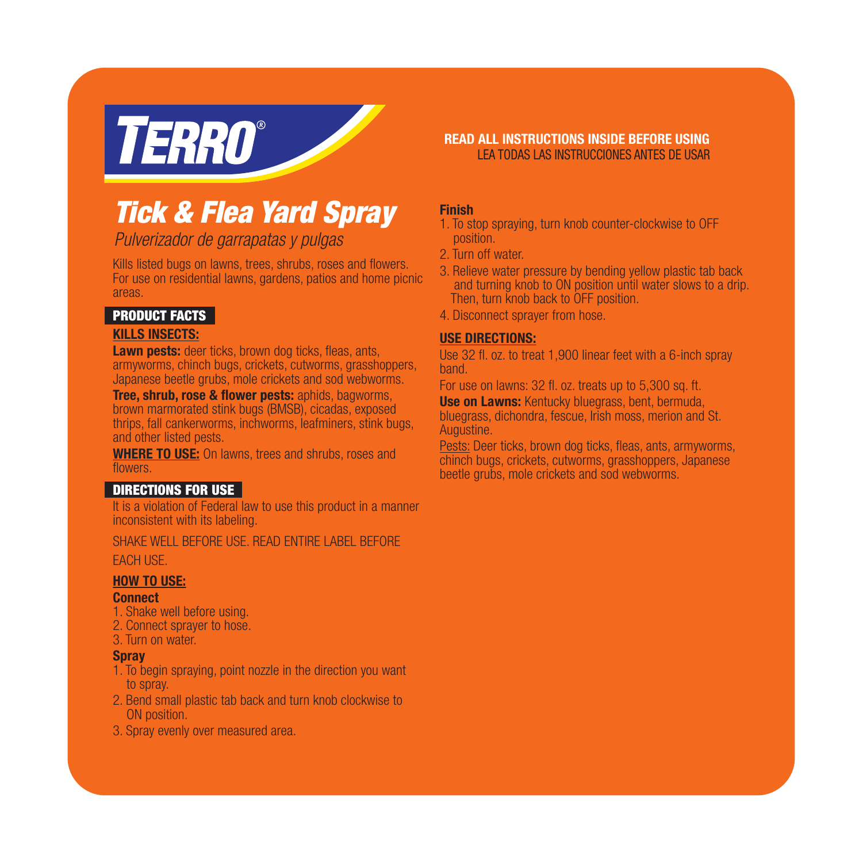# **TERRO**®

# *Tick & Flea Yard Spray*

*Pulverizador de garrapatas y pulgas*

Kills listed bugs on lawns, trees, shrubs, roses and flowers. For use on residential lawns, gardens, patios and home picnic areas.

## PRODUCT FACTS

## KILLS INSECTS:

**Lawn pests:** deer ticks, brown dog ticks, fleas, ants, armyworms, chinch bugs, crickets, cutworms, grasshoppers, Japanese beetle grubs, mole crickets and sod webworms.

Tree, shrub, rose & flower pests: aphids, bagworms, brown marmorated stink bugs (BMSB), cicadas, exposed thrips, fall cankerworms, inchworms, leafminers, stink bugs, and other listed pests.

**WHERE TO USE:** On lawns, trees and shrubs, roses and flowers.

## DIRECTIONS FOR USE

It is a violation of Federal law to use this product in a manner inconsistent with its labeling.

SHAKE WELL BEFORE LISE. READ ENTIRE LABEL BEFORE EACH USE.

## HOW TO USE:

## Connect

- 1. Shake well before using.
- 2. Connect sprayer to hose.
- 3. Turn on water.

## **Spray**

- 1. To begin spraying, point nozzle in the direction you want to spray.
- 2. Bend small plastic tab back and turn knob clockwise to ON position.
- 3. Spray evenly over measured area.

## READ ALL INSTRUCTIONS INSIDE BEFORE USING LEA TODAS LAS INSTRUCCIONES ANTES DE USAR

## Finish

- 1. To stop spraying, turn knob counter-clockwise to OFF position.
- 2. Turn off water.
- 3. Relieve water pressure by bending yellow plastic tab back and turning knob to ON position until water slows to a drip. Then, turn knob back to OFF position.
- 4. Disconnect sprayer from hose.

## USE DIRECTIONS:

Use 32 fl. oz. to treat 1,900 linear feet with a  $6$ -inch spray band.

For use on lawns: 32 fl. oz. treats up to 5,300 sq. ft.

<sup>15</sup>, **Use on Lawns:** Kentucky bluegrass, bent, bermuda, bluegrass, dichondra, fescue, Irish moss, merion and St. ugs, bluegrass,

<u>Pests:</u> Deer ticks, brown dog ticks, fleas, ants, armyworms,<br>
abjects bugg still the artwriting greenbonners, longeneed chinch bugs, crickets, cutworms, grasshoppers, Japanese beetle grubs, mole crickets and sod webworms.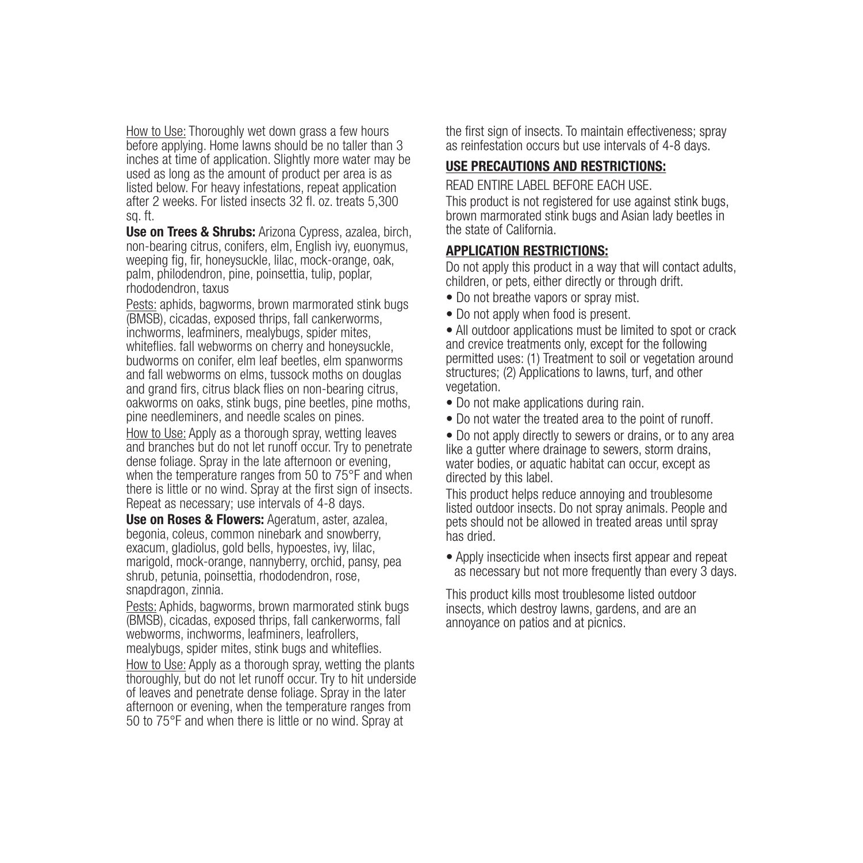How to Use: Thoroughly wet down grass a few hours before applying. Home lawns should be no taller than 3 inches at time of application. Slightly more water may be used as long as the amount of product per area is as listed below. For heavy infestations, repeat application after 2 weeks. For listed insects 32 fl. oz. treats 5,300 sq. ft.

Use on Trees & Shrubs: Arizona Cypress, azalea, birch, non-bearing citrus, conifers, elm, English ivy, euonymus, weeping fig, fir, honeysuckle, lilac, mock-orange, oak, palm, philodendron, pine, poinsettia, tulip, poplar, rhododendron, taxus

Pests: aphids, bagworms, brown marmorated stink bugs (BMSB), cicadas, exposed thrips, fall cankerworms, inchworms, leafminers, mealybugs, spider mites, whiteflies, fall webworms on cherry and honeysuckle. budworms on conifer, elm leaf beetles, elm spanworms and fall webworms on elms, tussock moths on douglas and grand firs, citrus black flies on non-bearing citrus.  $\frac{1}{\text{a}}$  oakworms on oaks, stink bugs, pine beetles, pine moths,  $\bullet$  Do not manipulate point  $\cdot$ pine needleminers, and needle scales on pines.

How to Use: Apply as a thorough spray, wetting leaves  $\bullet$  D and branches but do not let runoff occur. Try to penetrate dense foliage. Spray in the late afternoon or evening, when the temperature ranges from 50 to 75°F and when there is little or no wind. Spray at the first sign of insects. Repeat as necessary; use intervals of 4-8 days.

Use on Roses & Flowers: Ageratum, aster, azalea, begonia, coleus, common ninebark and snowberry, exacum, gladiolus, gold bells, hypoestes, ivy, lilac, marigold, mock-orange, nannyberry, orchid, pansy, pea shrub, petunia, poinsettia, rhododendron, rose, snapdragon, zinnia.

Pests: Aphids, bagworms, brown marmorated stink bugs (BMSB), cicadas, exposed thrips, fall cankerworms, fall webworms, inchworms, leafminers, leafrollers, mealybugs, spider mites, stink bugs and whiteflies.

How to Use: Apply as a thorough spray, wetting the plants thoroughly, but do not let runoff occur. Try to hit underside of leaves and penetrate dense foliage. Spray in the later afternoon or evening, when the temperature ranges from 50 to 75°F and when there is little or no wind. Spray at

the first sign of insects. To maintain effectiveness; spray as reinfestation occurs but use intervals of 4-8 days.

## USE PRECAUTIONS AND RESTRICTIONS:

READ ENTIRE LABEL BEFORE EACH USE.

This product is not registered for use against stink bugs, brown marmorated stink bugs and Asian lady beetles in the state of California.

## APPLICATION RESTRICTIONS:

Do not apply this product in a way that will contact adults, children, or pets, either directly or through drift.

- Do not breathe vapors or spray mist.
- Do not apply when food is present.

• All outdoor applications must be limited to spot or crack and crevice treatments only, except for the following permitted uses: (1) Treatment to soil or vegetation around structures; (2) Applications to lawns, turf, and other vegetation.

- Do not make applications during rain.
- Do not water the treated area to the point of runoff.

• Do not apply directly to sewers or drains, or to any area occur. Iry to penetrate like a gutter where drainage to sewers, storm drains,<br>2000 00 Helphan and the serve bodies or aquatic behitet sep soour avecant as water bodies, or aquatic habitat can occur, except as directed by this label.

> This product helps reduce annoying and troublesome listed outdoor insects. Do not spray animals. People and pets should not be allowed in treated areas until spray has dried.

 $\bullet$  Apply insecticide when insects first appear and repeat as necessary but not more frequently than every 3 days.

This product kills most troublesome listed outdoor insects, which destroy lawns, gardens, and are an annoyance on patios and at picnics.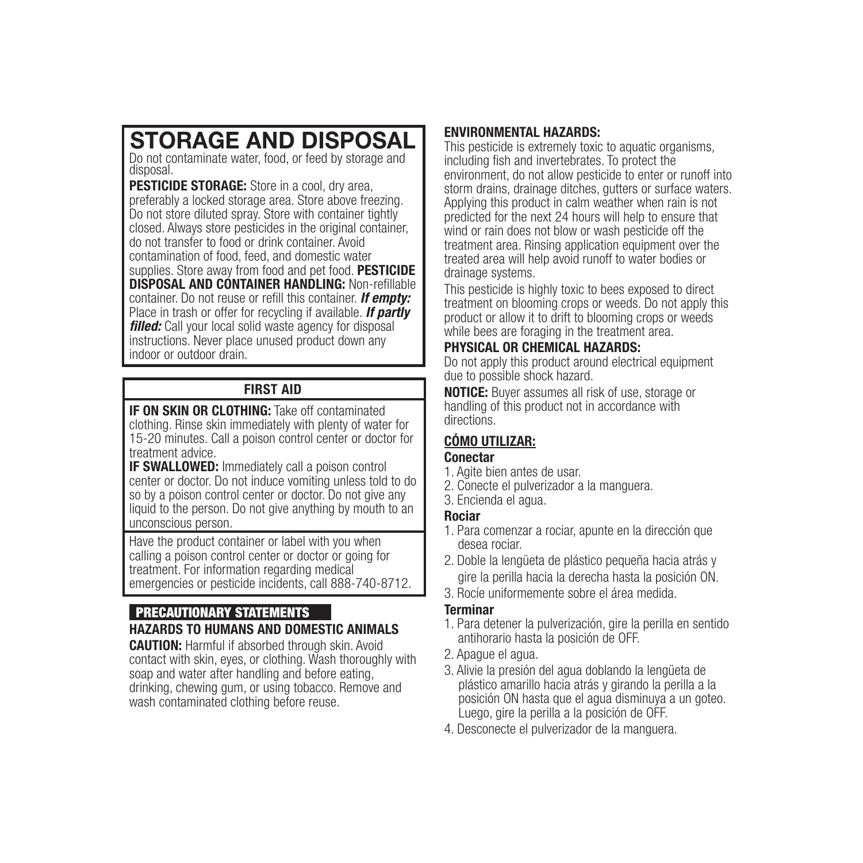# STORAGE AND DISPOSAL

Do not contaminate water, food, or feed by storage and disposal.

PESTICIDE STORAGE: Store in a cool, dry area, preferably a locked storage area. Store above freezing. Do not store diluted spray. Store with container tightly closed. Always store pesticides in the original container, do not transfer to food or drink container. Avoid contamination of food, feed, and domestic water supplies. Store away from food and pet food. **PESTICIDE** DISPOSAL AND CONTAINER HANDLING: Non-refillable container. Do not reuse or refill this container. *If empty:* Place in trash or offer for recycling if available. *If partly filled:* Call your local solid waste agency for disposal instructions. Never place unused product down any indoor or outdoor drain.

## FIRST AID

**IF ON SKIN OR CLOTHING:** Take off contaminated clothing. Rinse skin immediately with plenty of water for 15-20 minutes. Call a poison control center or doctor for treatment advice. enter or doctor for **CÓMO UTILIZAR:** 

IF SWALLOWED: Immediately call a poison control center or doctor. Do not induce vomiting unless told to do so by a poison control center or doctor. Do not give any liquid to the person. Do not give anything by mouth to an unconscious person.

Have the product container or label with you when calling a poison control center or doctor or going for treatment. For information regarding medical emergencies or pesticide incidents, call 888-740-8712.

## PRECAUTIONARY STATEMENTS

## HAZARDS TO HUMANS AND DOMESTIC ANIMALS

CAUTION: Harmful if absorbed through skin. Avoid contact with skin, eyes, or clothing. Wash thoroughly with soap and water after handling and before eating, drinking, chewing gum, or using tobacco. Remove and wash contaminated clothing before reuse.

## ENVIRONMENTAL HAZARDS:

This pesticide is extremely toxic to aquatic organisms, including fish and invertebrates. To protect the environment, do not allow pesticide to enter or runoff into storm drains, drainage ditches, gutters or surface waters. Applying this product in calm weather when rain is not predicted for the next 24 hours will help to ensure that wind or rain does not blow or wash pesticide off the treatment area. Rinsing application equipment over the treated area will help avoid runoff to water bodies or drainage systems.

This pesticide is highly toxic to bees exposed to direct treatment on blooming crops or weeds. Do not apply this product or allow it to drift to blooming crops or weeds while bees are foraging in the treatment area.

## PHYSICAL OR CHEMICAL HAZARDS:

Do not apply this product around electrical equipment due to possible shock hazard.

NOTICE: Buyer assumes all risk of use, storage or **NOTICE:** Buyer assumes all risk of use, storage<br>handling of this product not in accordance with  $or$  directions.

## Conectar

- 1. Agite bien antes de usar.
- 2. Conecte el pulverizador a la manguera.
- 3. Encienda el agua.

## Rociar

- 1. Para comenzar a rociar, apunte en la dirección que desea rociar.
- 2. Doble la lengüeta de plástico pequeña hacia atrás y gire la perilla hacia la derecha hasta la posición ON.
- 3. Rocíe uniformemente sobre el área medida.

## Terminar

- 1. Para detener la pulverización, gire la perilla en sentido antihorario hasta la posición de OFF.
- 2. Apague el agua.
- 3. Alivie la presión del agua doblando la lengüeta de plástico amarillo hacia atrás y girando la perilla a la posición ON hasta que el agua disminuya a un goteo. Luego, gire la perilla a la posición de OFF.
- 4. Desconecte el pulverizador de la manguera.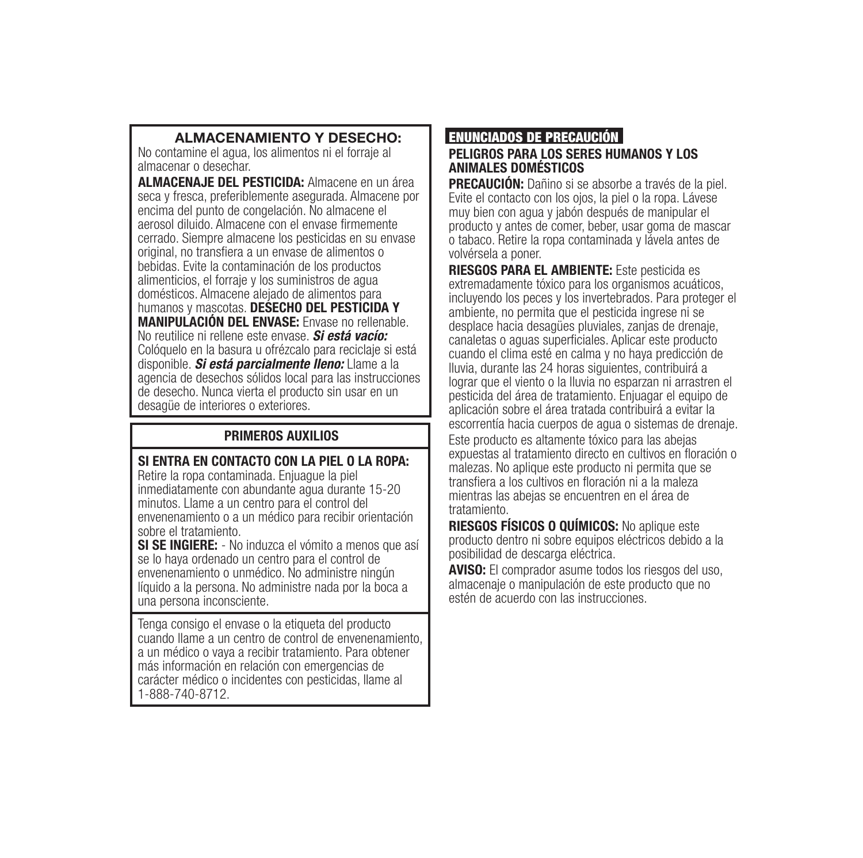## ALMACENAMIENTO Y DESECHO:

No contamine el agua, los alimentos ni el forraje al almacenar o desechar.

ALMACENAJE DEL PESTICIDA: Almacene en un área seca y fresca, preferiblemente asegurada. Almacene por encima del punto de congelación. No almacene el aerosol diluido. Almacene con el envase firmemente cerrado. Siempre almacene los pesticidas en su envase original, no transfiera a un envase de alimentos o bebidas. Evite la contaminación de los productos alimenticios, el forraje y los suministros de agua domésticos. Almacene alejado de alimentos para<br>humanos y mascotas. **DESECHO DEL PESTICIDA Y MANIPULACIÓN DEL ENVASE:** Envase no rellenable.<br>No reutilice ni rellene este envase. *Si está vacío:* Colóquelo en la basura u ofrézcalo para reciclaje si está<br>disponible. Si está parcialmente lleno: Hame a la disponible. *Si está parcialmente lleno:* Llame a la agencia de desechos sólidos local para las instrucciones de desecho. Nunca vierta el producto sin usar en un desagüe de interiores o exteriores.

## PRIMEROS AUXILIOS

## SI ENTRA EN CONTACTO CON LA PIEL O LA ROPA:

Retire la ropa contaminada. Enjuague la piel inmediatamente con abundante agua durante 15-20 minutos. Llame a un centro para el control del envenenamiento o a un médico para recibir orientación sobre el tratamiento.

SI SE INGIERE: - No induzca el vómito a menos que así se lo haya ordenado un centro para el control de envenenamiento o unmédico. No administre ningún líquido a la persona. No administre nada por la boca a una persona inconsciente.

Tenga consigo el envase o la etiqueta del producto cuando llame a un centro de control de envenenamiento, a un médico o vaya a recibir tratamiento. Para obtener más información en relación con emergencias de carácter médico o incidentes con pesticidas, llame al 1-888-740-8712.

## ENUNCIADOS DE PRECAUCIÓN PELIGROS PARA LOS SERES HUMANOS Y LOS

# ANIMALES DOMÉSTICOS

PRECAUCIÓN: Dañino si se absorbe a través de la piel. Evite el contacto con los ojos, la piel o la ropa. Lávese muy bien con agua y jabón después de manipular el producto y antes de comer, beber, usar goma de mascar o tabaco. Retire la ropa contaminada y lávela antes de volvérsela a poner.

RIESGOS PARA EL AMBIENTE: Este pesticida es extremadamente tóxico para los organismos acuáticos, incluyendo los peces y los invertebrados. Para proteger el ambiente, no permita que el pesticida ingrese ni se desplace hacia desagües pluviales, zanjas de drenaje, canaletas o aquas superficiales. Aplicar este producto cuando el clima esté en calma y no haya predicción de lluvia, durante las 24 horas siguientes, contribuirá a lograr que el viento o la lluvia no esparzan ni arrastren el pesticida del área de tratamiento. Enjuagar el equipo de aplicación sobre el área tratada contribuirá a evitar la escorrentía hacia cuerpos de agua o sistemas de drenaje.<br>Escorrentía hacia cuerpos de agua o sistemas de drenaje. **IS** Este producto es altamente tóxico para las abejas expuestas al tratamiento directo en cultivos en floración o malezas. No aplique este producto ni permita que se transfiera a los cultivos en floración ni a la maleza mientras las abejas se encuentren en el área de tratamiento.

RIESGOS FÍSICOS O QUÍMICOS: No aplique este producto dentro ni sobre equipos eléctricos debido a la posibilidad de descarga eléctrica.

AVISO: El comprador asume todos los riesgos del uso, almacenaje o manipulación de este producto que no estén de acuerdo con las instrucciones.